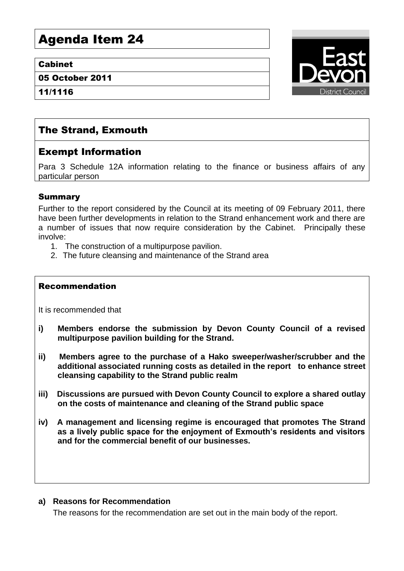# Agenda Item 24

#### Cabinet

05 October 2011

11/1116



# The Strand, Exmouth

## Exempt Information

Para 3 Schedule 12A information relating to the finance or business affairs of any particular person

### Summary

Further to the report considered by the Council at its meeting of 09 February 2011, there have been further developments in relation to the Strand enhancement work and there are a number of issues that now require consideration by the Cabinet. Principally these involve:

- 1. The construction of a multipurpose pavilion.
- 2. The future cleansing and maintenance of the Strand area

#### Recommendation

It is recommended that

- **i) Members endorse the submission by Devon County Council of a revised multipurpose pavilion building for the Strand.**
- **ii) Members agree to the purchase of a Hako sweeper/washer/scrubber and the additional associated running costs as detailed in the report to enhance street cleansing capability to the Strand public realm**
- **iii) Discussions are pursued with Devon County Council to explore a shared outlay on the costs of maintenance and cleaning of the Strand public space**
- **iv) A management and licensing regime is encouraged that promotes The Strand as a lively public space for the enjoyment of Exmouth's residents and visitors and for the commercial benefit of our businesses.**

#### **a) Reasons for Recommendation**

The reasons for the recommendation are set out in the main body of the report.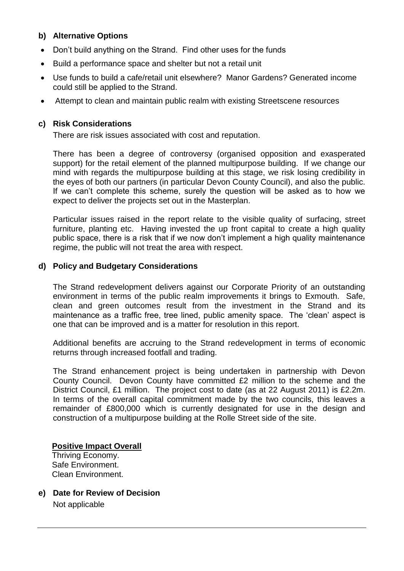#### **b) Alternative Options**

- Don't build anything on the Strand. Find other uses for the funds
- Build a performance space and shelter but not a retail unit
- Use funds to build a cafe/retail unit elsewhere? Manor Gardens? Generated income could still be applied to the Strand.
- Attempt to clean and maintain public realm with existing Streetscene resources

#### **c) Risk Considerations**

There are risk issues associated with cost and reputation.

There has been a degree of controversy (organised opposition and exasperated support) for the retail element of the planned multipurpose building. If we change our mind with regards the multipurpose building at this stage, we risk losing credibility in the eyes of both our partners (in particular Devon County Council), and also the public. If we can't complete this scheme, surely the question will be asked as to how we expect to deliver the projects set out in the Masterplan.

Particular issues raised in the report relate to the visible quality of surfacing, street furniture, planting etc. Having invested the up front capital to create a high quality public space, there is a risk that if we now don't implement a high quality maintenance regime, the public will not treat the area with respect.

#### **d) Policy and Budgetary Considerations**

The Strand redevelopment delivers against our Corporate Priority of an outstanding environment in terms of the public realm improvements it brings to Exmouth. Safe, clean and green outcomes result from the investment in the Strand and its maintenance as a traffic free, tree lined, public amenity space. The 'clean' aspect is one that can be improved and is a matter for resolution in this report.

Additional benefits are accruing to the Strand redevelopment in terms of economic returns through increased footfall and trading.

The Strand enhancement project is being undertaken in partnership with Devon County Council. Devon County have committed £2 million to the scheme and the District Council, £1 million. The project cost to date (as at 22 August 2011) is £2.2m. In terms of the overall capital commitment made by the two councils, this leaves a remainder of £800,000 which is currently designated for use in the design and construction of a multipurpose building at the Rolle Street side of the site.

#### **Positive Impact Overall**

Thriving Economy. Safe Environment. Clean Environment.

**e) Date for Review of Decision** Not applicable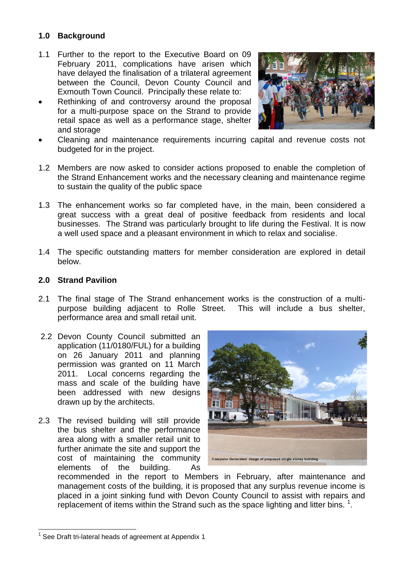### **1.0 Background**

- 1.1 Further to the report to the Executive Board on 09 February 2011, complications have arisen which have delayed the finalisation of a trilateral agreement between the Council, Devon County Council and Exmouth Town Council. Principally these relate to:
- Rethinking of and controversy around the proposal for a multi-purpose space on the Strand to provide retail space as well as a performance stage, shelter and storage



- Cleaning and maintenance requirements incurring capital and revenue costs not budgeted for in the project.
- 1.2 Members are now asked to consider actions proposed to enable the completion of the Strand Enhancement works and the necessary cleaning and maintenance regime to sustain the quality of the public space
- 1.3 The enhancement works so far completed have, in the main, been considered a great success with a great deal of positive feedback from residents and local businesses. The Strand was particularly brought to life during the Festival. It is now a well used space and a pleasant environment in which to relax and socialise.
- 1.4 The specific outstanding matters for member consideration are explored in detail below.

#### **2.0 Strand Pavilion**

- 2.1 The final stage of The Strand enhancement works is the construction of a multipurpose building adjacent to Rolle Street. This will include a bus shelter, performance area and small retail unit.
- 2.2 Devon County Council submitted an application (11/0180/FUL) for a building on 26 January 2011 and planning permission was granted on 11 March 2011. Local concerns regarding the mass and scale of the building have been addressed with new designs drawn up by the architects.
- 2.3 The revised building will still provide the bus shelter and the performance area along with a smaller retail unit to further animate the site and support the cost of maintaining the community elements of the building. As



recommended in the report to Members in February, after maintenance and management costs of the building, it is proposed that any surplus revenue income is placed in a joint sinking fund with Devon County Council to assist with repairs and replacement of items within the Strand such as the space lighting and litter bins.  $1$ .

1

 $1$  See Draft tri-lateral heads of agreement at Appendix 1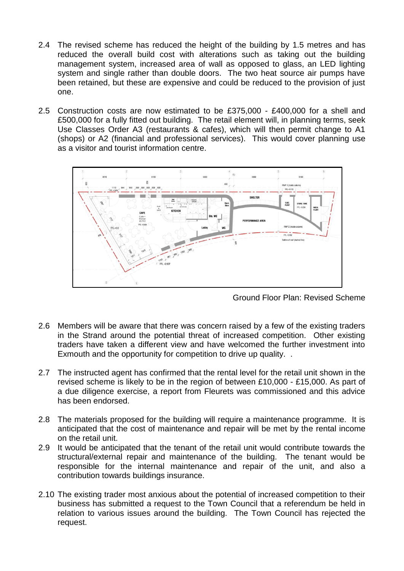- 2.4 The revised scheme has reduced the height of the building by 1.5 metres and has reduced the overall build cost with alterations such as taking out the building management system, increased area of wall as opposed to glass, an LED lighting system and single rather than double doors. The two heat source air pumps have been retained, but these are expensive and could be reduced to the provision of just one.
- 2.5 Construction costs are now estimated to be £375,000 £400,000 for a shell and £500,000 for a fully fitted out building. The retail element will, in planning terms, seek Use Classes Order A3 (restaurants & cafes), which will then permit change to A1 (shops) or A2 (financial and professional services). This would cover planning use as a visitor and tourist information centre.



Ground Floor Plan: Revised Scheme

- 2.6 Members will be aware that there was concern raised by a few of the existing traders in the Strand around the potential threat of increased competition. Other existing traders have taken a different view and have welcomed the further investment into Exmouth and the opportunity for competition to drive up quality. .
- 2.7 The instructed agent has confirmed that the rental level for the retail unit shown in the revised scheme is likely to be in the region of between £10,000 - £15,000. As part of a due diligence exercise, a report from Fleurets was commissioned and this advice has been endorsed.
- 2.8 The materials proposed for the building will require a maintenance programme. It is anticipated that the cost of maintenance and repair will be met by the rental income on the retail unit.
- 2.9 It would be anticipated that the tenant of the retail unit would contribute towards the structural/external repair and maintenance of the building. The tenant would be responsible for the internal maintenance and repair of the unit, and also a contribution towards buildings insurance.
- 2.10 The existing trader most anxious about the potential of increased competition to their business has submitted a request to the Town Council that a referendum be held in relation to various issues around the building. The Town Council has rejected the request.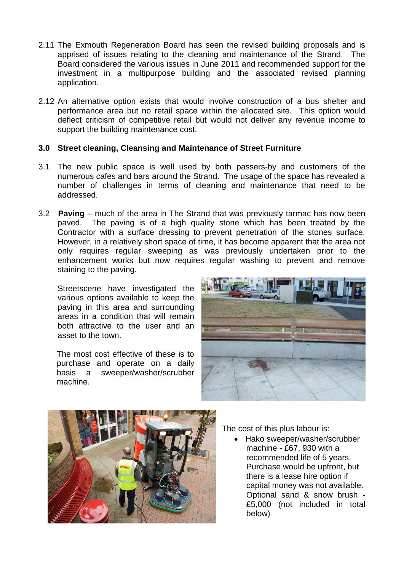- 2.11 The Exmouth Regeneration Board has seen the revised building proposals and is apprised of issues relating to the cleaning and maintenance of the Strand. The Board considered the various issues in June 2011 and recommended support for the investment in a multipurpose building and the associated revised planning application.
- 2.12 An alternative option exists that would involve construction of a bus shelter and performance area but no retail space within the allocated site. This option would deflect criticism of competitive retail but would not deliver any revenue income to support the building maintenance cost.

#### **3.0 Street cleaning, Cleansing and Maintenance of Street Furniture**

- 3.1 The new public space is well used by both passers-by and customers of the numerous cafes and bars around the Strand. The usage of the space has revealed a number of challenges in terms of cleaning and maintenance that need to be addressed.
- 3.2 **Paving** much of the area in The Strand that was previously tarmac has now been paved. The paving is of a high quality stone which has been treated by the Contractor with a surface dressing to prevent penetration of the stones surface. However, in a relatively short space of time, it has become apparent that the area not only requires regular sweeping as was previously undertaken prior to the enhancement works but now requires regular washing to prevent and remove staining to the paving.

Streetscene have investigated the various options available to keep the paving in this area and surrounding areas in a condition that will remain both attractive to the user and an asset to the town.

The most cost effective of these is to purchase and operate on a daily basis a sweeper/washer/scrubber machine.





The cost of this plus labour is:

• Hako sweeper/washer/scrubber machine - £67, 930 with a recommended life of 5 years. Purchase would be upfront, but there is a lease hire option if capital money was not available. Optional sand & snow brush - £5,000 (not included in total below)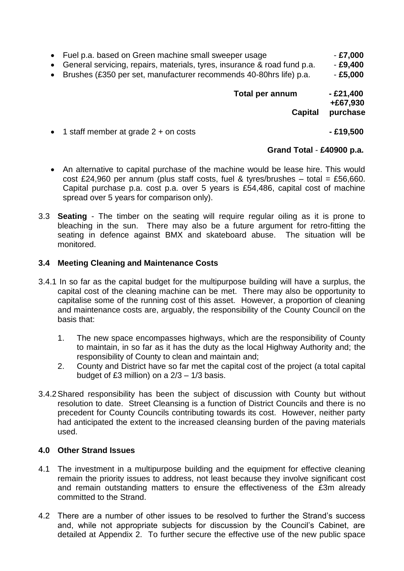- Fuel p.a. based on Green machine small sweeper usage  **127,000**
- General servicing, repairs, materials, tyres, insurance & road fund p.a. **£9,400**
- Brushes (£350 per set, manufacturer recommends 40-80hrs life) p.a. **£5,000**

**Total per annum - £21,400 +£67,930** 

 **Capital purchase**

1 staff member at grade 2 + on costs **- £19,500**

#### **Grand Total** - **£40900 p.a.**

- An alternative to capital purchase of the machine would be lease hire. This would cost £24,960 per annum (plus staff costs, fuel & tyres/brushes – total = £56,660. Capital purchase p.a. cost p.a. over 5 years is £54,486, capital cost of machine spread over 5 years for comparison only).
- 3.3 **Seating** The timber on the seating will require regular oiling as it is prone to bleaching in the sun. There may also be a future argument for retro-fitting the seating in defence against BMX and skateboard abuse. The situation will be monitored.

#### **3.4 Meeting Cleaning and Maintenance Costs**

- 3.4.1 In so far as the capital budget for the multipurpose building will have a surplus, the capital cost of the cleaning machine can be met. There may also be opportunity to capitalise some of the running cost of this asset. However, a proportion of cleaning and maintenance costs are, arguably, the responsibility of the County Council on the basis that:
	- 1. The new space encompasses highways, which are the responsibility of County to maintain, in so far as it has the duty as the local Highway Authority and; the responsibility of County to clean and maintain and;
	- 2. County and District have so far met the capital cost of the project (a total capital budget of £3 million) on a 2/3 – 1/3 basis.
- 3.4.2Shared responsibility has been the subject of discussion with County but without resolution to date. Street Cleansing is a function of District Councils and there is no precedent for County Councils contributing towards its cost. However, neither party had anticipated the extent to the increased cleansing burden of the paving materials used.

#### **4.0 Other Strand Issues**

- 4.1 The investment in a multipurpose building and the equipment for effective cleaning remain the priority issues to address, not least because they involve significant cost and remain outstanding matters to ensure the effectiveness of the £3m already committed to the Strand.
- 4.2 There are a number of other issues to be resolved to further the Strand's success and, while not appropriate subjects for discussion by the Council's Cabinet, are detailed at Appendix 2. To further secure the effective use of the new public space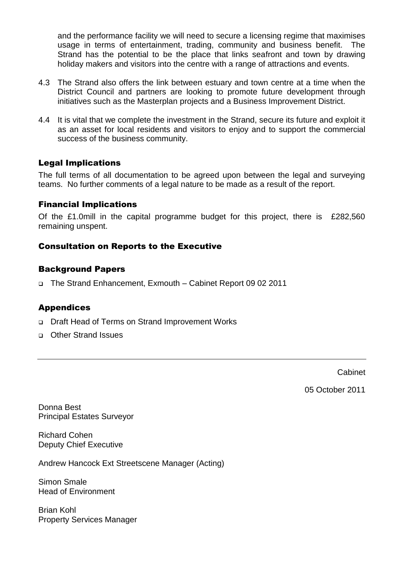and the performance facility we will need to secure a licensing regime that maximises usage in terms of entertainment, trading, community and business benefit. The Strand has the potential to be the place that links seafront and town by drawing holiday makers and visitors into the centre with a range of attractions and events.

- 4.3 The Strand also offers the link between estuary and town centre at a time when the District Council and partners are looking to promote future development through initiatives such as the Masterplan projects and a Business Improvement District.
- 4.4 It is vital that we complete the investment in the Strand, secure its future and exploit it as an asset for local residents and visitors to enjoy and to support the commercial success of the business community.

### Legal Implications

The full terms of all documentation to be agreed upon between the legal and surveying teams. No further comments of a legal nature to be made as a result of the report.

#### Financial Implications

Of the £1.0mill in the capital programme budget for this project, there is £282,560 remaining unspent.

#### Consultation on Reports to the Executive

#### Background Papers

The Strand Enhancement, Exmouth – Cabinet Report 09 02 2011

#### Appendices

- Draft Head of Terms on Strand Improvement Works
- Other Strand Issues

Cabinet

05 October 2011

Donna Best Principal Estates Surveyor

Richard Cohen Deputy Chief Executive

Andrew Hancock Ext Streetscene Manager (Acting)

Simon Smale Head of Environment

Brian Kohl Property Services Manager